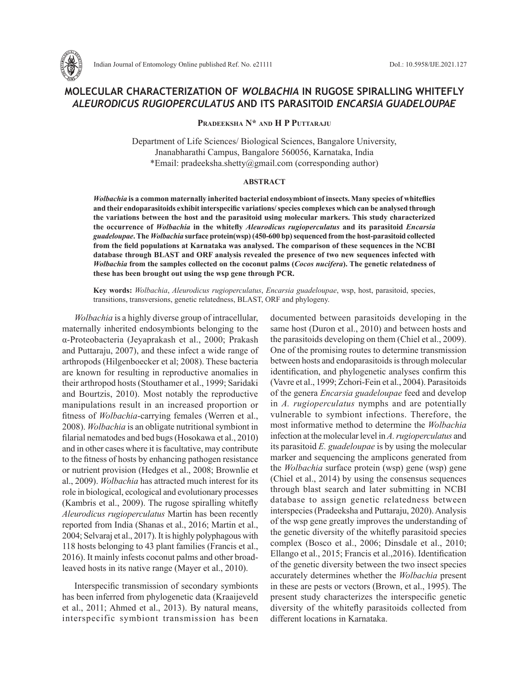

# **MOLECULAR CHARACTERIZATION OF** *WOLBACHIA* **IN RUGOSE SPIRALLING WHITEFLY**  *ALEURODICUS RUGIOPERCULATUS* **AND ITS PARASITOID** *ENCARSIA GUADELOUPAE*

**Pradeeksha N\* and H P Puttaraju**

Department of Life Sciences/ Biological Sciences, Bangalore University, Jnanabharathi Campus, Bangalore 560056, Karnataka, India \*Email: pradeeksha.shetty@gmail.com (corresponding author)

#### **ABSTRACT**

*Wolbachia* **is a common maternally inherited bacterial endosymbiont of insects. Many species of whiteflies and their endoparasitoids exhibit interspecific variations/ species complexes which can be analysed through the variations between the host and the parasitoid using molecular markers. This study characterized the occurrence of** *Wolbachia* **in the whitefly** *Aleurodicus rugioperculatus* **and its parasitoid** *Encarsia guadeloupae***. The** *Wolbachia* **surface protein(wsp) (450-600 bp) sequenced from the host-parasitoid collected from the field populations at Karnataka was analysed. The comparison of these sequences in the NCBI database through BLAST and ORF analysis revealed the presence of two new sequences infected with**  *Wolbachia* **from the samples collected on the coconut palms (***Cocos nucifera***). The genetic relatedness of these has been brought out using the wsp gene through PCR.** 

**Key words:** *Wolbachia*, *Aleurodicus rugioperculatus*, *Encarsia guadeloupae*, wsp, host, parasitoid, species, transitions, transversions, genetic relatedness, BLAST, ORF and phylogeny.

*Wolbachia* is a highly diverse group of intracellular, maternally inherited endosymbionts belonging to the α-Proteobacteria (Jeyaprakash et al., 2000; Prakash and Puttaraju, 2007), and these infect a wide range of arthropods (Hilgenboecker et al; 2008). These bacteria are known for resulting in reproductive anomalies in their arthropod hosts (Stouthamer et al., 1999; Saridaki and Bourtzis, 2010). Most notably the reproductive manipulations result in an increased proportion or fitness of *Wolbachia*-carrying females (Werren et al., 2008). *Wolbachia* is an obligate nutritional symbiont in filarial nematodes and bed bugs (Hosokawa et al., 2010) and in other cases where it is facultative, may contribute to the fitness of hosts by enhancing pathogen resistance or nutrient provision (Hedges et al., 2008; Brownlie et al., 2009). *Wolbachia* has attracted much interest for its role in biological, ecological and evolutionary processes (Kambris et al., 2009). The rugose spiralling whitefly *Aleurodicus rugioperculatus* Martin has been recently reported from India (Shanas et al., 2016; Martin et al., 2004; Selvaraj et al., 2017). It is highly polyphagous with 118 hosts belonging to 43 plant families (Francis et al., 2016). It mainly infests coconut palms and other broadleaved hosts in its native range (Mayer et al., 2010).

Interspecific transmission of secondary symbionts has been inferred from phylogenetic data (Kraaijeveld et al., 2011; Ahmed et al., 2013). By natural means, interspecific symbiont transmission has been documented between parasitoids developing in the same host (Duron et al., 2010) and between hosts and the parasitoids developing on them (Chiel et al., 2009). One of the promising routes to determine transmission between hosts and endoparasitoids is through molecular identification, and phylogenetic analyses confirm this (Vavre et al., 1999; Zchori-Fein et al., 2004). Parasitoids of the genera *Encarsia guadeloupae* feed and develop in *A. rugioperculatus* nymphs and are potentially vulnerable to symbiont infections. Therefore, the most informative method to determine the *Wolbachia*  infection at the molecular level in *A. rugioperculatus* and its parasitoid *E. guadeloupae* is by using the molecular marker and sequencing the amplicons generated from the *Wolbachia* surface protein (wsp) gene (wsp) gene (Chiel et al., 2014) by using the consensus sequences through blast search and later submitting in NCBI database to assign genetic relatedness between interspecies (Pradeeksha and Puttaraju, 2020). Analysis of the wsp gene greatly improves the understanding of the genetic diversity of the whitefly parasitoid species complex (Bosco et al., 2006; Dinsdale et al., 2010; Ellango et al., 2015; Francis et al.,2016). Identification of the genetic diversity between the two insect species accurately determines whether the *Wolbachia* present in these are pests or vectors (Brown, et al., 1995). The present study characterizes the interspecific genetic diversity of the whitefly parasitoids collected from different locations in Karnataka.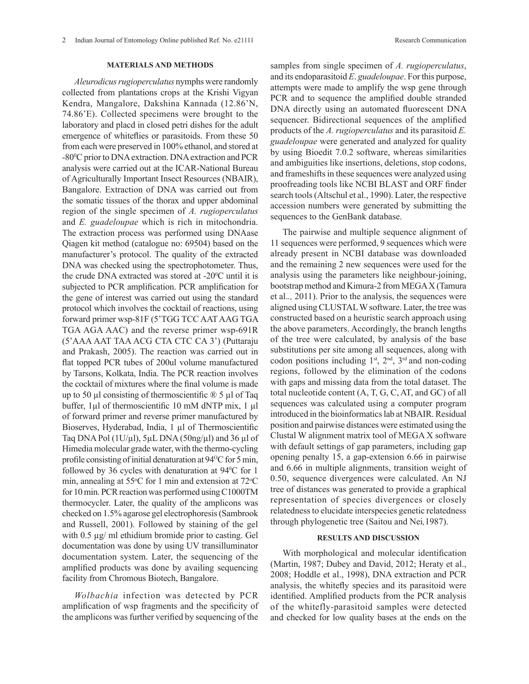### **MATERIALS AND METHODS**

*Aleurodicus rugioperculatus* nymphs were randomly collected from plantations crops at the Krishi Vigyan Kendra, Mangalore, Dakshina Kannada (12.86'N, 74.86'E). Collected specimens were brought to the laboratory and placd in closed petri dishes for the adult emergence of whiteflies or parasitoids. From these 50 from each were preserved in 100% ethanol, and stored at -80°C prior to DNA extraction. DNA extraction and PCR analysis were carried out at the ICAR-National Bureau of Agriculturally Important Insect Resources (NBAIR), Bangalore. Extraction of DNA was carried out from the somatic tissues of the thorax and upper abdominal region of the single specimen of *A. rugioperculatus* and *E. guadeloupae* which is rich in mitochondria. The extraction process was performed using DNAase Qiagen kit method (catalogue no: 69504) based on the manufacturer's protocol. The quality of the extracted DNA was checked using the spectrophotometer. Thus, the crude DNA extracted was stored at  $-20^{\circ}$ C until it is subjected to PCR amplification. PCR amplification for the gene of interest was carried out using the standard protocol which involves the cocktail of reactions, using forward primer wsp-81F (5'TGG TCC AAT AAG TGA TGA AGA AAC) and the reverse primer wsp-691R (5'AAA AAT TAA ACG CTA CTC CA 3') (Puttaraju and Prakash, 2005). The reaction was carried out in flat topped PCR tubes of 200ul volume manufactured by Tarsons, Kolkata, India. The PCR reaction involves the cocktail of mixtures where the final volume is made up to 50  $\mu$ l consisting of thermoscientific  $\mathbb{D}$  5  $\mu$ l of Taq buffer, 1µl of thermoscientific 10 mM dNTP mix, 1 µl of forward primer and reverse primer manufactured by Bioserves, Hyderabad, India, 1 µl of Thermoscientific Taq DNA Pol  $(1U/\mu I)$ , 5 $\mu L$  DNA  $(50ng/\mu I)$  and 36  $\mu I$  of Himedia molecular grade water, with the thermo-cycling profile consisting of initial denaturation at 94<sup>o</sup>C for 5 min, followed by 36 cycles with denaturation at  $94^{\circ}$ C for 1 min, annealing at  $55^{\circ}$ C for 1 min and extension at  $72^{\circ}$ C for 10 min. PCR reaction was performed using C1000TM thermocycler. Later, the quality of the amplicons was checked on 1.5% agarose gel electrophoresis (Sambrook and Russell, 2001). Followed by staining of the gel with 0.5  $\mu$ g/ ml ethidium bromide prior to casting. Gel documentation was done by using UV transilluminator documentation system. Later, the sequencing of the amplified products was done by availing sequencing facility from Chromous Biotech, Bangalore.

*Wolbachia* infection was detected by PCR amplification of wsp fragments and the specificity of the amplicons was further verified by sequencing of the samples from single specimen of *A. rugioperculatus*, and its endoparasitoid *E*. *guadeloupae*. For this purpose, attempts were made to amplify the wsp gene through PCR and to sequence the amplified double stranded DNA directly using an automated fluorescent DNA sequencer. Bidirectional sequences of the amplified products of the *A. rugioperculatus* and its parasitoid *E. guadeloupae* were generated and analyzed for quality by using Bioedit 7.0.2 software, whereas similarities and ambiguities like insertions, deletions, stop codons, and frameshifts in these sequences were analyzed using proofreading tools like NCBI BLAST and ORF finder search tools (Altschul et al., 1990). Later, the respective accession numbers were generated by submitting the sequences to the GenBank database.

The pairwise and multiple sequence alignment of 11 sequences were performed, 9 sequences which were already present in NCBI database was downloaded and the remaining 2 new sequences were used for the analysis using the parameters like neighbour-joining, bootstrap method and Kimura-2 from MEGA X (Tamura et al.*.,* 2011). Prior to the analysis, the sequences were aligned using CLUSTAL W software. Later, the tree was constructed based on a heuristic search approach using the above parameters. Accordingly, the branch lengths of the tree were calculated, by analysis of the base substitutions per site among all sequences, along with codon positions including  $1<sup>st</sup>$ ,  $2<sup>nd</sup>$ ,  $3<sup>rd</sup>$  and non-coding regions, followed by the elimination of the codons with gaps and missing data from the total dataset. The total nucleotide content (A, T, G, C, AT, and GC) of all sequences was calculated using a computer program introduced in the bioinformatics lab at NBAIR. Residual position and pairwise distances were estimated using the Clustal W alignment matrix tool of MEGA X software with default settings of gap parameters, including gap opening penalty 15, a gap-extension 6.66 in pairwise and 6.66 in multiple alignments, transition weight of 0.50, sequence divergences were calculated. An NJ tree of distances was generated to provide a graphical representation of species divergences or closely relatedness to elucidate interspecies genetic relatedness through phylogenetic tree (Saitou and Nei*,*1987).

#### **RESULTS AND DISCUSSION**

With morphological and molecular identification (Martin, 1987; Dubey and David, 2012; Heraty et al., 2008; Hoddle et al., 1998), DNA extraction and PCR analysis, the whitefly species and its parasitoid were identified. Amplified products from the PCR analysis of the whitefly-parasitoid samples were detected and checked for low quality bases at the ends on the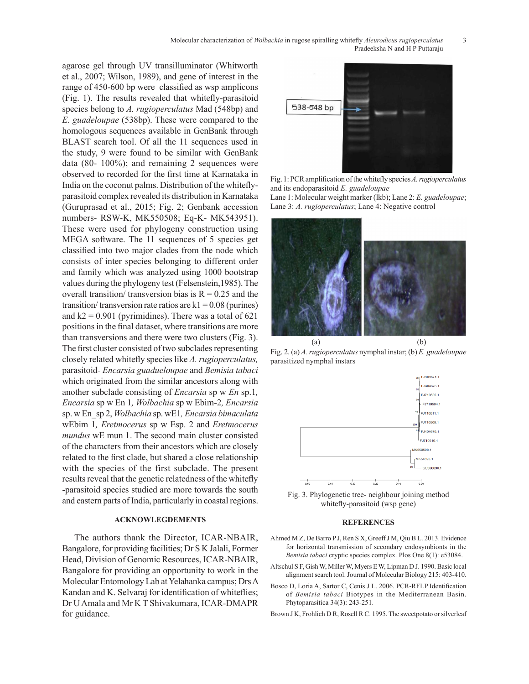agarose gel through UV transilluminator (Whitworth et al., 2007; Wilson, 1989), and gene of interest in the range of 450-600 bp were classified as wsp amplicons (Fig. 1). The results revealed that whitefly-parasitoid species belong to *A. rugioperculatus* Mad (548bp) and *E. guadeloupae* (538bp). These were compared to the homologous sequences available in GenBank through BLAST search tool. Of all the 11 sequences used in the study, 9 were found to be similar with GenBank data (80- 100%); and remaining 2 sequences were observed to recorded for the first time at Karnataka in India on the coconut palms. Distribution of the whiteflyparasitoid complex revealed its distribution in Karnataka (Guruprasad et al., 2015; Fig. 2; Genbank accession numbers- RSW-K, MK550508; Eq-K- MK543951). These were used for phylogeny construction using MEGA software. The 11 sequences of 5 species get classified into two major clades from the node which consists of inter species belonging to different order and family which was analyzed using 1000 bootstrap values during the phylogeny test (Felsenstein,1985). The overall transition/ transversion bias is  $R = 0.25$  and the transition/ transversion rate ratios are  $k1 = 0.08$  (purines) and  $k2 = 0.901$  (pyrimidines). There was a total of 621 positions in the final dataset, where transitions are more than transversions and there were two clusters (Fig. 3). The first cluster consisted of two subclades representing closely related whitefly species like *A. rugioperculatus,*  parasitoid*- Encarsia guadueloupae* and *Bemisia tabaci*  which originated from the similar ancestors along with another subclade consisting of *Encarsia* sp w *En* sp.1*, Encarsia* sp w En 1*, Wolbachia* sp w Ebim-2*, Encarsia*  sp. w En\_sp 2, *Wolbachia* sp. wE1*, Encarsia bimaculata*  wEbim 1*, Eretmocerus* sp w Esp. 2 and *Eretmocerus mundus* wE mun 1. The second main cluster consisted of the characters from their ancestors which are closely related to the first clade, but shared a close relationship with the species of the first subclade. The present results reveal that the genetic relatedness of the whitefly -parasitoid species studied are more towards the south and eastern parts of India, particularly in coastal regions.

## **ACKNOWLEGDEMENTS**

The authors thank the Director, ICAR-NBAIR, Bangalore, for providing facilities; Dr S K Jalali, Former Head, Division of Genomic Resources, ICAR-NBAIR, Bangalore for providing an opportunity to work in the Molecular Entomology Lab at Yelahanka campus; Drs A Kandan and K. Selvaraj for identification of whiteflies; Dr U Amala and Mr K T Shivakumara, ICAR-DMAPR for guidance.



Fig. 1: PCR amplification of the whitefly species *A. rugioperculatus*  and its endoparasitoid *E. guadeloupae* Lane 1: Molecular weight marker (lkb); Lane 2: *E. guadeloupae*;

Lane 3: *A. rugioperculatus*; Lane 4: Negative control



Fig. 2. (a) *A. rugioperculatus* nymphal instar; (b) *E. guadeloupae* parasitized nymphal instars



Fig. 3. Phylogenetic tree- neighbour joining method whitefly-parasitoid (wsp gene)

#### **REFERENCES**

- Ahmed M Z, De Barro P J, Ren S X, Greeff J M, Qiu B L. 2013. Evidence for horizontal transmission of secondary endosymbionts in the *Bemisia tabaci* cryptic species complex. Plos One 8(1): e53084.
- Altschul S F, Gish W, Miller W, Myers E W, Lipman D J. 1990. Basic local alignment search tool. Journal of Molecular Biology 215: 403-410.
- Bosco D, Loria A, Sartor C, Cenis J L. 2006. PCR-RFLP Identification of *Bemisia tabaci* Biotypes in the Mediterranean Basin. Phytoparasitica 34(3): 243-251.
- Brown J K, Frohlich D R, Rosell R C. 1995. The sweetpotato or silverleaf